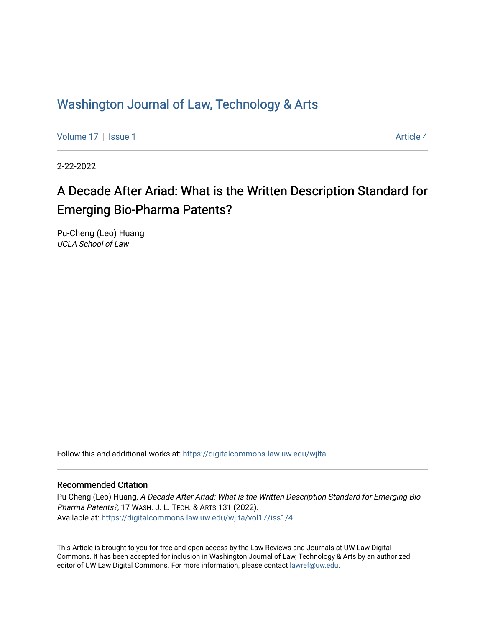## Washington Journal of Law, Technology & Arts

[Volume 17](https://digitalcommons.law.uw.edu/wjlta/vol17) | [Issue 1](https://digitalcommons.law.uw.edu/wjlta/vol17/iss1) Article 4

2-22-2022

# A Decade After Ariad: What is the Written Description Standard for Emerging Bio-Pharma Patents?

Pu-Cheng (Leo) Huang UCLA School of Law

Follow this and additional works at: [https://digitalcommons.law.uw.edu/wjlta](https://digitalcommons.law.uw.edu/wjlta?utm_source=digitalcommons.law.uw.edu%2Fwjlta%2Fvol17%2Fiss1%2F4&utm_medium=PDF&utm_campaign=PDFCoverPages) 

#### Recommended Citation

Pu-Cheng (Leo) Huang, A Decade After Ariad: What is the Written Description Standard for Emerging Bio-Pharma Patents?, 17 WASH. J. L. TECH. & ARTS 131 (2022). Available at: [https://digitalcommons.law.uw.edu/wjlta/vol17/iss1/4](https://digitalcommons.law.uw.edu/wjlta/vol17/iss1/4?utm_source=digitalcommons.law.uw.edu%2Fwjlta%2Fvol17%2Fiss1%2F4&utm_medium=PDF&utm_campaign=PDFCoverPages) 

This Article is brought to you for free and open access by the Law Reviews and Journals at UW Law Digital Commons. It has been accepted for inclusion in Washington Journal of Law, Technology & Arts by an authorized editor of UW Law Digital Commons. For more information, please contact [lawref@uw.edu](mailto:lawref@uw.edu).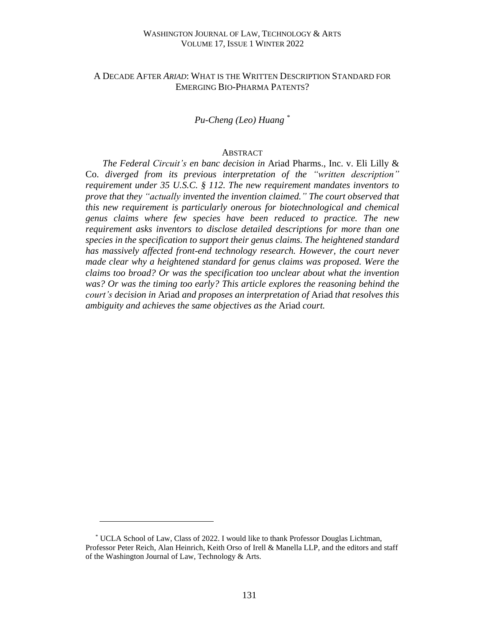#### WASHINGTON JOURNAL OF LAW, TECHNOLOGY & ARTS VOLUME 17, ISSUE 1 WINTER 2022

#### A DECADE AFTER *ARIAD*: WHAT IS THE WRITTEN DESCRIPTION STANDARD FOR EMERGING BIO-PHARMA PATENTS?

#### *Pu-Cheng (Leo) Huang \**

#### **ABSTRACT**

*The Federal Circuit's en banc decision in* Ariad Pharms., Inc. v. Eli Lilly & Co. *diverged from its previous interpretation of the "written description" requirement under 35 U.S.C. § 112. The new requirement mandates inventors to prove that they "actually invented the invention claimed." The court observed that this new requirement is particularly onerous for biotechnological and chemical genus claims where few species have been reduced to practice. The new requirement asks inventors to disclose detailed descriptions for more than one species in the specification to support their genus claims. The heightened standard has massively affected front-end technology research. However, the court never made clear why a heightened standard for genus claims was proposed. Were the claims too broad? Or was the specification too unclear about what the invention was? Or was the timing too early? This article explores the reasoning behind the court's decision in* Ariad *and proposes an interpretation of* Ariad *that resolves this ambiguity and achieves the same objectives as the* Ariad *court.*

<sup>\*</sup> UCLA School of Law, Class of 2022. I would like to thank Professor Douglas Lichtman, Professor Peter Reich, Alan Heinrich, Keith Orso of Irell & Manella LLP, and the editors and staff of the Washington Journal of Law, Technology & Arts.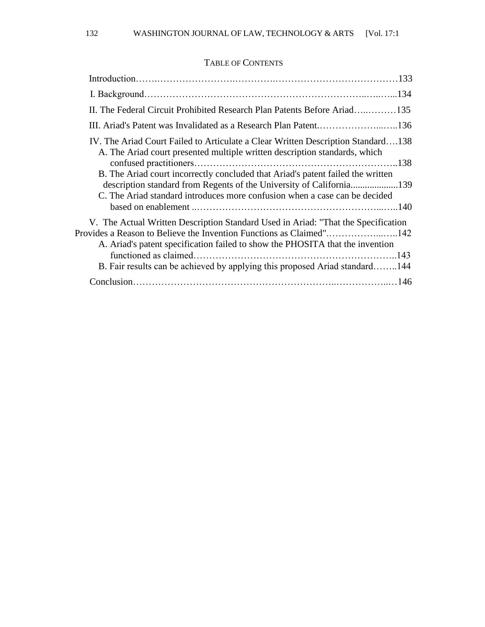### TABLE OF CONTENTS

| II. The Federal Circuit Prohibited Research Plan Patents Before Ariad135                                                                                                                                                              |  |
|---------------------------------------------------------------------------------------------------------------------------------------------------------------------------------------------------------------------------------------|--|
| III. Ariad's Patent was Invalidated as a Research Plan Patent136                                                                                                                                                                      |  |
| IV. The Ariad Court Failed to Articulate a Clear Written Description Standard138<br>A. The Ariad court presented multiple written description standards, which                                                                        |  |
| B. The Ariad court incorrectly concluded that Ariad's patent failed the written<br>description standard from Regents of the University of California139<br>C. The Ariad standard introduces more confusion when a case can be decided |  |
|                                                                                                                                                                                                                                       |  |
| V. The Actual Written Description Standard Used in Ariad: "That the Specification                                                                                                                                                     |  |
| Provides a Reason to Believe the Invention Functions as Claimed"142<br>A. Ariad's patent specification failed to show the PHOSITA that the invention                                                                                  |  |
|                                                                                                                                                                                                                                       |  |
| B. Fair results can be achieved by applying this proposed Ariad standard144                                                                                                                                                           |  |
|                                                                                                                                                                                                                                       |  |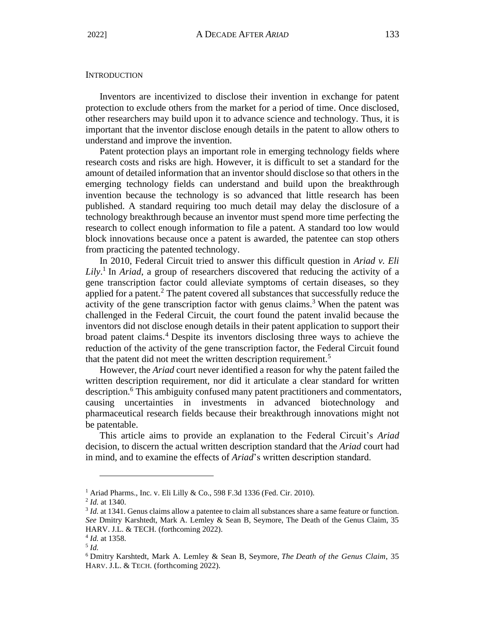#### **INTRODUCTION**

Inventors are incentivized to disclose their invention in exchange for patent protection to exclude others from the market for a period of time. Once disclosed, other researchers may build upon it to advance science and technology. Thus, it is important that the inventor disclose enough details in the patent to allow others to understand and improve the invention.

Patent protection plays an important role in emerging technology fields where research costs and risks are high. However, it is difficult to set a standard for the amount of detailed information that an inventor should disclose so that others in the emerging technology fields can understand and build upon the breakthrough invention because the technology is so advanced that little research has been published. A standard requiring too much detail may delay the disclosure of a technology breakthrough because an inventor must spend more time perfecting the research to collect enough information to file a patent. A standard too low would block innovations because once a patent is awarded, the patentee can stop others from practicing the patented technology.

In 2010, Federal Circuit tried to answer this difficult question in *Ariad v. Eli Lily*. 1 In *Ariad*, a group of researchers discovered that reducing the activity of a gene transcription factor could alleviate symptoms of certain diseases, so they applied for a patent.<sup>2</sup> The patent covered all substances that successfully reduce the activity of the gene transcription factor with genus claims.<sup>3</sup> When the patent was challenged in the Federal Circuit, the court found the patent invalid because the inventors did not disclose enough details in their patent application to support their broad patent claims. <sup>4</sup> Despite its inventors disclosing three ways to achieve the reduction of the activity of the gene transcription factor, the Federal Circuit found that the patent did not meet the written description requirement.<sup>5</sup>

However, the *Ariad* court never identified a reason for why the patent failed the written description requirement, nor did it articulate a clear standard for written description.<sup>6</sup> This ambiguity confused many patent practitioners and commentators, causing uncertainties in investments in advanced biotechnology and pharmaceutical research fields because their breakthrough innovations might not be patentable.

This article aims to provide an explanation to the Federal Circuit's *Ariad* decision, to discern the actual written description standard that the *Ariad* court had in mind, and to examine the effects of *Ariad*'s written description standard.

<sup>&</sup>lt;sup>1</sup> Ariad Pharms., Inc. v. Eli Lilly & Co., 598 F.3d 1336 (Fed. Cir. 2010).

<sup>2</sup> *Id.* at 1340.

<sup>&</sup>lt;sup>3</sup> *Id.* at 1341. Genus claims allow a patentee to claim all substances share a same feature or function. *See* Dmitry Karshtedt, Mark A. Lemley & Sean B, Seymore, The Death of the Genus Claim, 35 HARV. J.L. & TECH. (forthcoming 2022).

<sup>4</sup> *Id.* at 1358.

<sup>5</sup> *Id.*

<sup>6</sup> Dmitry Karshtedt, Mark A. Lemley & Sean B, Seymore, *The Death of the Genus Claim*, 35 HARV. J.L. & TECH. (forthcoming 2022).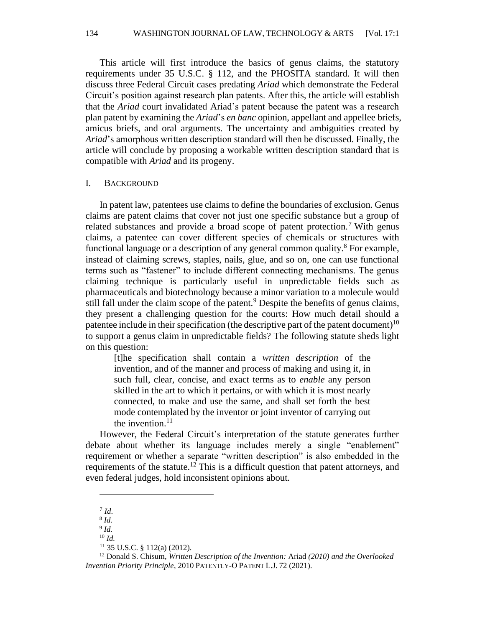134 WASHINGTON JOURNAL OF LAW, TECHNOLOGY & ARTS [Vol. 17:1

This article will first introduce the basics of genus claims, the statutory requirements under 35 U.S.C. § 112, and the PHOSITA standard. It will then discuss three Federal Circuit cases predating *Ariad* which demonstrate the Federal Circuit's position against research plan patents. After this, the article will establish that the *Ariad* court invalidated Ariad's patent because the patent was a research plan patent by examining the *Ariad*'s *en banc* opinion, appellant and appellee briefs, amicus briefs, and oral arguments. The uncertainty and ambiguities created by *Ariad*'s amorphous written description standard will then be discussed. Finally, the article will conclude by proposing a workable written description standard that is compatible with *Ariad* and its progeny.

#### I. BACKGROUND

In patent law, patentees use claims to define the boundaries of exclusion. Genus claims are patent claims that cover not just one specific substance but a group of related substances and provide a broad scope of patent protection.<sup>7</sup> With genus claims, a patentee can cover different species of chemicals or structures with functional language or a description of any general common quality.<sup>8</sup> For example, instead of claiming screws, staples, nails, glue, and so on, one can use functional terms such as "fastener" to include different connecting mechanisms. The genus claiming technique is particularly useful in unpredictable fields such as pharmaceuticals and biotechnology because a minor variation to a molecule would still fall under the claim scope of the patent.<sup>9</sup> Despite the benefits of genus claims, they present a challenging question for the courts: How much detail should a patentee include in their specification (the descriptive part of the patent document)<sup>10</sup> to support a genus claim in unpredictable fields? The following statute sheds light on this question:

[t]he specification shall contain a *written description* of the invention, and of the manner and process of making and using it, in such full, clear, concise, and exact terms as to *enable* any person skilled in the art to which it pertains, or with which it is most nearly connected, to make and use the same, and shall set forth the best mode contemplated by the inventor or joint inventor of carrying out the invention. $11$ 

However, the Federal Circuit's interpretation of the statute generates further debate about whether its language includes merely a single "enablement" requirement or whether a separate "written description" is also embedded in the requirements of the statute.<sup>12</sup> This is a difficult question that patent attorneys, and even federal judges, hold inconsistent opinions about.

<sup>7</sup> *Id*.

<sup>8</sup> *Id.*

<sup>9</sup> *Id.*  $10 \, \text{Id}$ 

<sup>11</sup> 35 U.S.C. § 112(a) (2012).

<sup>12</sup> Donald S. Chisum, *Written Description of the Invention:* Ariad *(2010) and the Overlooked Invention Priority Principle*, 2010 PATENTLY‐O PATENT L.J. 72 (2021).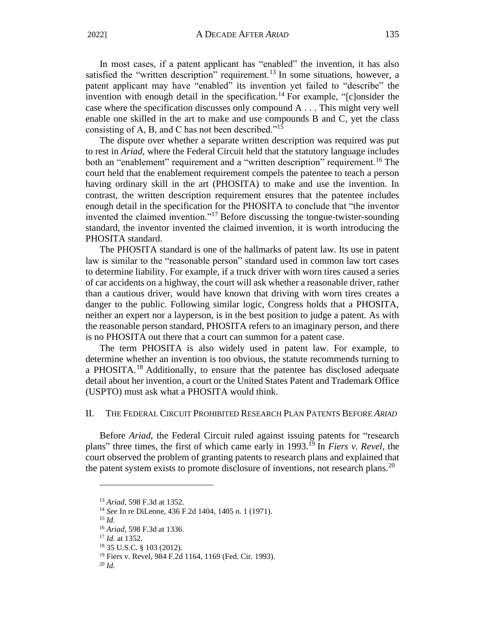In most cases, if a patent applicant has "enabled" the invention, it has also satisfied the "written description" requirement.<sup>13</sup> In some situations, however, a patent applicant may have "enabled" its invention yet failed to "describe" the invention with enough detail in the specification.<sup>14</sup> For example, " $[*c*]$ onsider the case where the specification discusses only compound A . . . This might very well enable one skilled in the art to make and use compounds B and C, yet the class consisting of A, B, and C has not been described."<sup>15</sup>

The dispute over whether a separate written description was required was put to rest in *Ariad,* where the Federal Circuit held that the statutory language includes both an "enablement" requirement and a "written description" requirement.<sup>16</sup> The court held that the enablement requirement compels the patentee to teach a person having ordinary skill in the art (PHOSITA) to make and use the invention. In contrast, the written description requirement ensures that the patentee includes enough detail in the specification for the PHOSITA to conclude that "the inventor invented the claimed invention."<sup>17</sup> Before discussing the tongue-twister-sounding standard, the inventor invented the claimed invention, it is worth introducing the PHOSITA standard.

The PHOSITA standard is one of the hallmarks of patent law. Its use in patent law is similar to the "reasonable person" standard used in common law tort cases to determine liability. For example, if a truck driver with worn tires caused a series of car accidents on a highway, the court will ask whether a reasonable driver, rather than a cautious driver, would have known that driving with worn tires creates a danger to the public. Following similar logic, Congress holds that a PHOSITA, neither an expert nor a layperson, is in the best position to judge a patent. As with the reasonable person standard, PHOSITA refers to an imaginary person, and there is no PHOSITA out there that a court can summon for a patent case.

The term PHOSITA is also widely used in patent law. For example, to determine whether an invention is too obvious, the statute recommends turning to a PHOSITA.<sup>18</sup> Additionally, to ensure that the patentee has disclosed adequate detail about her invention, a court or the United States Patent and Trademark Office (USPTO) must ask what a PHOSITA would think.

#### II. THE FEDERAL CIRCUIT PROHIBITED RESEARCH PLAN PATENTS BEFORE *ARIAD*

Before *Ariad*, the Federal Circuit ruled against issuing patents for "research plans" three times, the first of which came early in 1993. <sup>19</sup> In *Fiers v. Revel*, the court observed the problem of granting patents to research plans and explained that the patent system exists to promote disclosure of inventions, not research plans.<sup>20</sup>

<sup>13</sup> *Ariad*, 598 F.3d at 1352.

<sup>14</sup> *See* In re DiLeone, 436 F.2d 1404, 1405 n. 1 (1971).

<sup>15</sup> *Id.*

<sup>16</sup> *Ariad*, 598 F.3d at 1336.

<sup>17</sup> *Id.* at 1352.

<sup>18</sup> 35 U.S.C. § 103 (2012).

<sup>19</sup> Fiers v. Revel, 984 F.2d 1164, 1169 (Fed. Cir. 1993).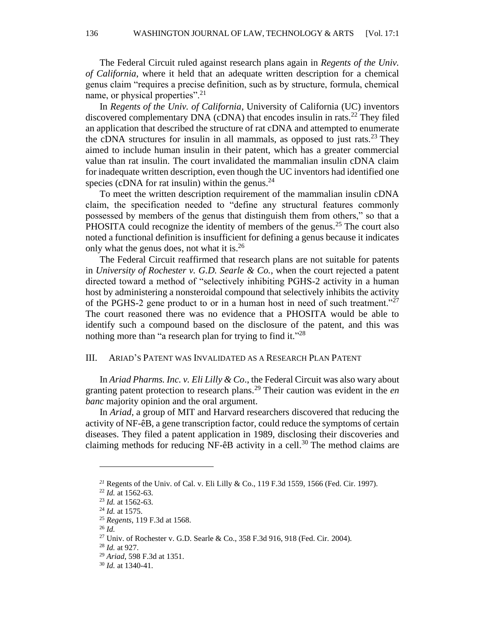The Federal Circuit ruled against research plans again in *Regents of the Univ. of California*, where it held that an adequate written description for a chemical genus claim "requires a precise definition, such as by structure, formula, chemical name, or physical properties".<sup>21</sup>

In *Regents of the Univ. of California*, University of California (UC) inventors discovered complementary DNA (cDNA) that encodes insulin in rats.<sup>22</sup> They filed an application that described the structure of rat cDNA and attempted to enumerate the cDNA structures for insulin in all mammals, as opposed to just rats.<sup>23</sup> They aimed to include human insulin in their patent, which has a greater commercial value than rat insulin. The court invalidated the mammalian insulin cDNA claim for inadequate written description, even though the UC inventors had identified one species (cDNA for rat insulin) within the genus. $^{24}$ 

To meet the written description requirement of the mammalian insulin cDNA claim, the specification needed to "define any structural features commonly possessed by members of the genus that distinguish them from others," so that a PHOSITA could recognize the identity of members of the genus.<sup>25</sup> The court also noted a functional definition is insufficient for defining a genus because it indicates only what the genus does, not what it is.<sup>26</sup>

The Federal Circuit reaffirmed that research plans are not suitable for patents in *University of Rochester v. G.D. Searle & Co.*, when the court rejected a patent directed toward a method of "selectively inhibiting PGHS-2 activity in a human host by administering a nonsteroidal compound that selectively inhibits the activity of the PGHS-2 gene product to or in a human host in need of such treatment."<sup>27</sup> The court reasoned there was no evidence that a PHOSITA would be able to identify such a compound based on the disclosure of the patent, and this was nothing more than "a research plan for trying to find it."<sup>28</sup>

#### III. ARIAD'S PATENT WAS INVALIDATED AS A RESEARCH PLAN PATENT

In *Ariad Pharms. Inc. v. Eli Lilly & Co*., the Federal Circuit was also wary about granting patent protection to research plans.<sup>29</sup> Their caution was evident in the *en banc* majority opinion and the oral argument.

In *Ariad*, a group of MIT and Harvard researchers discovered that reducing the activity of NF-êB, a gene transcription factor, could reduce the symptoms of certain diseases. They filed a patent application in 1989, disclosing their discoveries and claiming methods for reducing NF-êB activity in a cell.<sup>30</sup> The method claims are

*<sup>21</sup>* Regents of the Univ. of Cal. v. Eli Lilly & Co., 119 F.3d 1559, 1566 (Fed. Cir. 1997).

<sup>22</sup> *Id.* at 1562-63.

<sup>23</sup> *Id.* at 1562-63.

<sup>24</sup> *Id.* at 1575.

<sup>25</sup> *Regents*, 119 F.3d at 1568.

<sup>26</sup> *Id.*

<sup>&</sup>lt;sup>27</sup> Univ. of Rochester v. G.D. Searle & Co., 358 F.3d 916, 918 (Fed. Cir. 2004).

<sup>28</sup> *Id.* at 927.

<sup>29</sup> *Ariad*, 598 F.3d at 1351.

<sup>30</sup> *Id.* at 1340-41.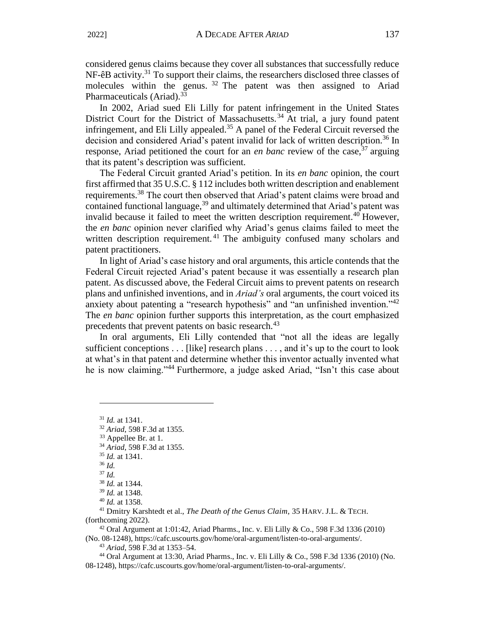considered genus claims because they cover all substances that successfully reduce  $NF$ -êB activity.<sup>31</sup> To support their claims, the researchers disclosed three classes of molecules within the genus.  $32$  The patent was then assigned to Ariad Pharmaceuticals (Ariad).<sup>33</sup>

In 2002, Ariad sued Eli Lilly for patent infringement in the United States District Court for the District of Massachusetts.<sup>34</sup> At trial, a jury found patent infringement, and Eli Lilly appealed.<sup>35</sup> A panel of the Federal Circuit reversed the decision and considered Ariad's patent invalid for lack of written description.<sup>36</sup> In response, Ariad petitioned the court for an *en banc* review of the case,<sup>37</sup> arguing that its patent's description was sufficient.

The Federal Circuit granted Ariad's petition. In its *en banc* opinion, the court first affirmed that 35 U.S.C. § 112 includes both written description and enablement requirements.<sup>38</sup> The court then observed that Ariad's patent claims were broad and contained functional language,  $39$  and ultimately determined that Ariad's patent was invalid because it failed to meet the written description requirement.<sup>40</sup> However, the *en banc* opinion never clarified why Ariad's genus claims failed to meet the written description requirement.<sup>41</sup> The ambiguity confused many scholars and patent practitioners.

In light of Ariad's case history and oral arguments, this article contends that the Federal Circuit rejected Ariad's patent because it was essentially a research plan patent. As discussed above, the Federal Circuit aims to prevent patents on research plans and unfinished inventions, and in *Ariad's* oral arguments, the court voiced its anxiety about patenting a "research hypothesis" and "an unfinished invention."<sup>42</sup> The *en banc* opinion further supports this interpretation, as the court emphasized precedents that prevent patents on basic research.<sup>43</sup>

In oral arguments, Eli Lilly contended that "not all the ideas are legally sufficient conceptions . . . [like] research plans . . . , and it's up to the court to look at what's in that patent and determine whether this inventor actually invented what he is now claiming."<sup>44</sup> Furthermore, a judge asked Ariad, "Isn't this case about

<sup>31</sup> *Id.* at 1341.

<sup>32</sup> *Ariad*, 598 F.3d at 1355.

<sup>33</sup> Appellee Br. at 1.

<sup>34</sup> *Ariad*, 598 F.3d at 1355.

<sup>35</sup> *Id.* at 1341.

<sup>36</sup> *Id.*

<sup>37</sup> *Id.*

<sup>38</sup> *Id.* at 1344.

<sup>39</sup> *Id.* at 1348.

<sup>40</sup> *Id.* at 1358.

<sup>41</sup> Dmitry Karshtedt et al., *The Death of the Genus Claim*, 35 HARV. J.L. & TECH. (forthcoming 2022).

<sup>42</sup> Oral Argument at 1:01:42, Ariad Pharms., Inc. v. Eli Lilly & Co., 598 F.3d 1336 (2010) (No. 08-1248), https://cafc.uscourts.gov/home/oral-argument/listen-to-oral-arguments/.

<sup>43</sup> *Ariad*, 598 F.3d at 1353–54.

<sup>44</sup> Oral Argument at 13:30, Ariad Pharms., Inc. v. Eli Lilly & Co., 598 F.3d 1336 (2010) (No. 08-1248), https://cafc.uscourts.gov/home/oral-argument/listen-to-oral-arguments/.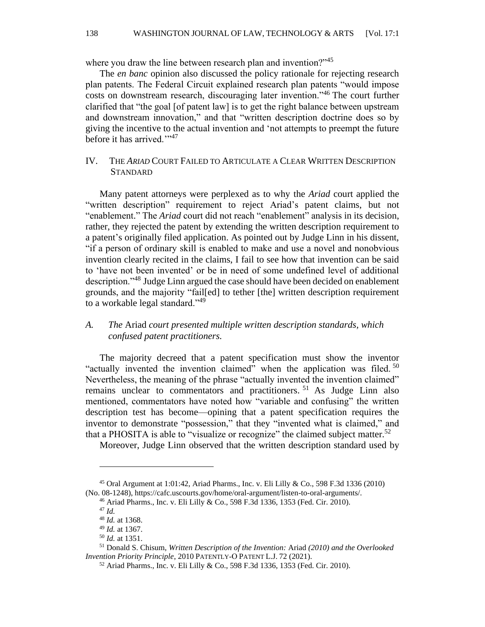where you draw the line between research plan and invention?"<sup>45</sup>

The *en banc* opinion also discussed the policy rationale for rejecting research plan patents. The Federal Circuit explained research plan patents "would impose costs on downstream research, discouraging later invention."<sup>46</sup> The court further clarified that "the goal [of patent law] is to get the right balance between upstream and downstream innovation," and that "written description doctrine does so by giving the incentive to the actual invention and 'not attempts to preempt the future before it has arrived."<sup>47</sup>

#### IV. THE *ARIAD* COURT FAILED TO ARTICULATE A CLEAR WRITTEN DESCRIPTION **STANDARD**

Many patent attorneys were perplexed as to why the *Ariad* court applied the "written description" requirement to reject Ariad's patent claims, but not "enablement." The *Ariad* court did not reach "enablement" analysis in its decision, rather, they rejected the patent by extending the written description requirement to a patent's originally filed application. As pointed out by Judge Linn in his dissent, "if a person of ordinary skill is enabled to make and use a novel and nonobvious invention clearly recited in the claims, I fail to see how that invention can be said to 'have not been invented' or be in need of some undefined level of additional description."<sup>48</sup> Judge Linn argued the case should have been decided on enablement grounds, and the majority "fail[ed] to tether [the] written description requirement to a workable legal standard."<sup>49</sup>

#### *A. The* Ariad *court presented multiple written description standards, which confused patent practitioners.*

The majority decreed that a patent specification must show the inventor "actually invented the invention claimed" when the application was filed.<sup>50</sup> Nevertheless, the meaning of the phrase "actually invented the invention claimed" remains unclear to commentators and practitioners.<sup>51</sup> As Judge Linn also mentioned, commentators have noted how "variable and confusing" the written description test has become—opining that a patent specification requires the inventor to demonstrate "possession," that they "invented what is claimed," and that a PHOSITA is able to "visualize or recognize" the claimed subject matter.<sup>52</sup>

Moreover, Judge Linn observed that the written description standard used by

<sup>45</sup> Oral Argument at 1:01:42, Ariad Pharms., Inc. v. Eli Lilly & Co., 598 F.3d 1336 (2010) (No. 08-1248), https://cafc.uscourts.gov/home/oral-argument/listen-to-oral-arguments/.

<sup>46</sup> Ariad Pharms., Inc. v. Eli Lilly & Co., 598 F.3d 1336, 1353 (Fed. Cir. 2010).

<sup>47</sup> *Id.*

<sup>48</sup> *Id.* at 1368.

<sup>49</sup> *Id.* at 1367.

<sup>50</sup> *Id.* at 1351.

<sup>51</sup> Donald S. Chisum, *Written Description of the Invention:* Ariad *(2010) and the Overlooked Invention Priority Principle*, 2010 PATENTLY‐O PATENT L.J. 72 (2021).

<sup>52</sup> Ariad Pharms., Inc. v. Eli Lilly & Co., 598 F.3d 1336, 1353 (Fed. Cir. 2010).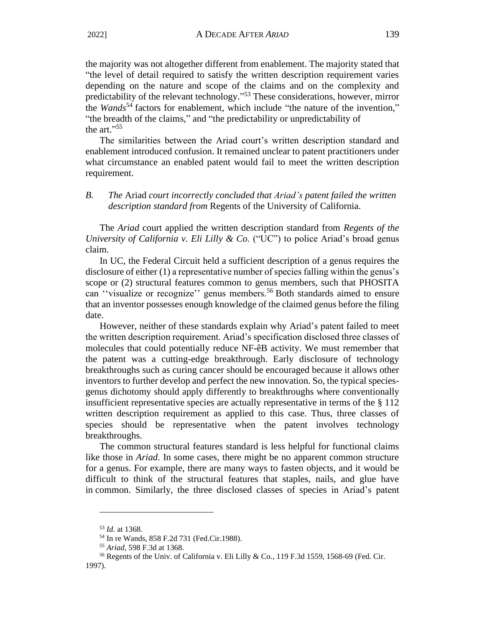the majority was not altogether different from enablement. The majority stated that "the level of detail required to satisfy the written description requirement varies depending on the nature and scope of the claims and on the complexity and predictability of the relevant technology." <sup>53</sup> These considerations, however, mirror the *Wands*<sup>54</sup> factors for enablement, which include "the nature of the invention," "the breadth of the claims," and "the predictability or unpredictability of the art."<sup>55</sup>

The similarities between the Ariad court's written description standard and enablement introduced confusion. It remained unclear to patent practitioners under what circumstance an enabled patent would fail to meet the written description requirement.

#### *B. The* Ariad *court incorrectly concluded that Ariad's patent failed the written description standard from* Regents of the University of California.

The *Ariad* court applied the written description standard from *Regents of the University of California v. Eli Lilly & Co.* ("UC") to police Ariad's broad genus claim.

In UC, the Federal Circuit held a sufficient description of a genus requires the disclosure of either (1) a representative number of species falling within the genus's scope or (2) structural features common to genus members, such that PHOSITA can "visualize or recognize" genus members.<sup>56</sup> Both standards aimed to ensure that an inventor possesses enough knowledge of the claimed genus before the filing date.

However, neither of these standards explain why Ariad's patent failed to meet the written description requirement. Ariad's specification disclosed three classes of molecules that could potentially reduce NF-êB activity. We must remember that the patent was a cutting-edge breakthrough. Early disclosure of technology breakthroughs such as curing cancer should be encouraged because it allows other inventors to further develop and perfect the new innovation. So, the typical speciesgenus dichotomy should apply differently to breakthroughs where conventionally insufficient representative species are actually representative in terms of the § 112 written description requirement as applied to this case. Thus, three classes of species should be representative when the patent involves technology breakthroughs.

The common structural features standard is less helpful for functional claims like those in *Ariad*. In some cases, there might be no apparent common structure for a genus. For example, there are many ways to fasten objects, and it would be difficult to think of the structural features that staples, nails, and glue have in common. Similarly, the three disclosed classes of species in Ariad's patent

<sup>53</sup> *Id.* at 1368.

<sup>54</sup> In re Wands, 858 F.2d 731 (Fed.Cir.1988).

<sup>55</sup> *Ariad*, 598 F.3d at 1368.

<sup>56</sup> Regents of the Univ. of California v. Eli Lilly & Co., 119 F.3d 1559, 1568-69 (Fed. Cir. 1997).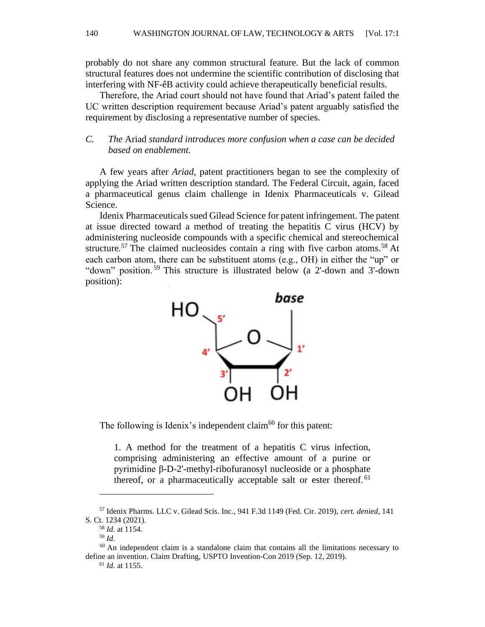probably do not share any common structural feature. But the lack of common structural features does not undermine the scientific contribution of disclosing that interfering with NF-êB activity could achieve therapeutically beneficial results.

Therefore, the Ariad court should not have found that Ariad's patent failed the UC written description requirement because Ariad's patent arguably satisfied the requirement by disclosing a representative number of species.

#### *C. The* Ariad *standard introduces more confusion when a case can be decided based on enablement.*

A few years after *Ariad*, patent practitioners began to see the complexity of applying the Ariad written description standard. The Federal Circuit, again, faced a pharmaceutical genus claim challenge in Idenix Pharmaceuticals v. Gilead Science.

Idenix Pharmaceuticals sued Gilead Science for patent infringement. The patent at issue directed toward a method of treating the hepatitis C virus (HCV) by administering nucleoside compounds with a specific chemical and stereochemical structure.<sup>57</sup> The claimed nucleosides contain a ring with five carbon atoms.<sup>58</sup> At each carbon atom, there can be substituent atoms (e.g., OH) in either the "up" or "down" position. <sup>59</sup> This structure is illustrated below (a 2'-down and 3'-down position):



The following is Idenix's independent claim<sup>60</sup> for this patent:

1. A method for the treatment of a hepatitis C virus infection, comprising administering an effective amount of a purine or pyrimidine β-D-2'-methyl-ribofuranosyl nucleoside or a phosphate thereof, or a pharmaceutically acceptable salt or ester thereof.<sup>61</sup>

<sup>57</sup> Idenix Pharms. LLC v. Gilead Scis. Inc., 941 F.3d 1149 (Fed. Cir. 2019), *cert. denied*, 141 S. Ct. 1234 (2021).

<sup>58</sup> *Id.* at 1154.

<sup>59</sup> *Id.*

<sup>60</sup> An independent claim is a standalone claim that contains all the limitations necessary to define an invention. Claim Drafting, USPTO Invention-Con 2019 (Sep. 12, 2019).

<sup>61</sup> *Id.* at 1155.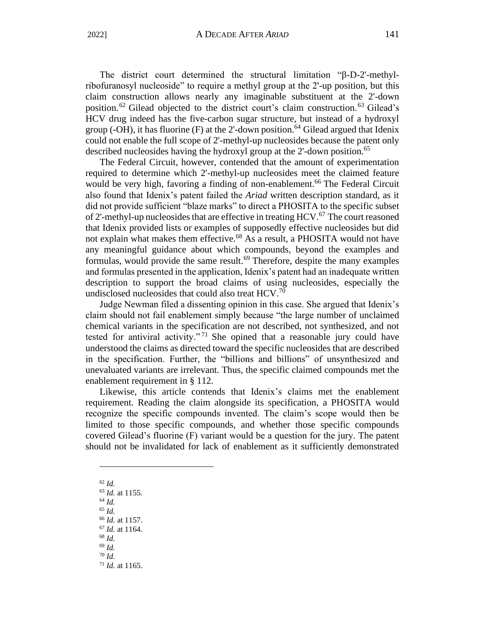#### 2022] A DECADE AFTER *ARIAD* 141

The district court determined the structural limitation "β-D-2'-methylribofuranosyl nucleoside" to require a methyl group at the 2'-up position, but this claim construction allows nearly any imaginable substituent at the 2'-down position.<sup>62</sup> Gilead objected to the district court's claim construction.<sup>63</sup> Gilead's HCV drug indeed has the five-carbon sugar structure, but instead of a hydroxyl group (-OH), it has fluorine (F) at the 2'-down position.<sup>64</sup> Gilead argued that Idenix could not enable the full scope of 2'-methyl-up nucleosides because the patent only described nucleosides having the hydroxyl group at the 2'-down position.<sup>65</sup>

The Federal Circuit, however, contended that the amount of experimentation required to determine which 2'-methyl-up nucleosides meet the claimed feature would be very high, favoring a finding of non-enablement.<sup>66</sup> The Federal Circuit also found that Idenix's patent failed the *Ariad* written description standard, as it did not provide sufficient "blaze marks" to direct a PHOSITA to the specific subset of 2'-methyl-up nucleosides that are effective in treating  $HCV<sup>67</sup>$ . The court reasoned that Idenix provided lists or examples of supposedly effective nucleosides but did not explain what makes them effective.<sup>68</sup> As a result, a PHOSITA would not have any meaningful guidance about which compounds, beyond the examples and formulas, would provide the same result.<sup>69</sup> Therefore, despite the many examples and formulas presented in the application, Idenix's patent had an inadequate written description to support the broad claims of using nucleosides, especially the undisclosed nucleosides that could also treat  $HCV$ .<sup>70</sup>

Judge Newman filed a dissenting opinion in this case. She argued that Idenix's claim should not fail enablement simply because "the large number of unclaimed chemical variants in the specification are not described, not synthesized, and not tested for antiviral activity."<sup>71</sup> She opined that a reasonable jury could have understood the claims as directed toward the specific nucleosides that are described in the specification. Further, the "billions and billions" of unsynthesized and unevaluated variants are irrelevant. Thus, the specific claimed compounds met the enablement requirement in § 112.

Likewise, this article contends that Idenix's claims met the enablement requirement. Reading the claim alongside its specification, a PHOSITA would recognize the specific compounds invented. The claim's scope would then be limited to those specific compounds, and whether those specific compounds covered Gilead's fluorine (F) variant would be a question for the jury. The patent should not be invalidated for lack of enablement as it sufficiently demonstrated

<sup>62</sup> *Id.* <sup>63</sup> *Id.* at 1155. <sup>64</sup> *Id.* <sup>65</sup> *Id.* <sup>66</sup> *Id.* at 1157. <sup>67</sup> *Id.* at 1164. <sup>68</sup> *Id.* <sup>69</sup> *Id.* <sup>70</sup> *Id.* <sup>71</sup> *Id.* at 1165.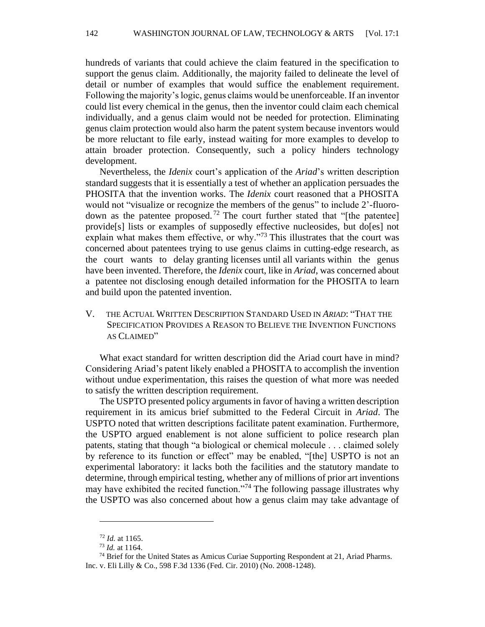hundreds of variants that could achieve the claim featured in the specification to support the genus claim. Additionally, the majority failed to delineate the level of detail or number of examples that would suffice the enablement requirement. Following the majority's logic, genus claims would be unenforceable. If an inventor could list every chemical in the genus, then the inventor could claim each chemical individually, and a genus claim would not be needed for protection. Eliminating genus claim protection would also harm the patent system because inventors would be more reluctant to file early, instead waiting for more examples to develop to attain broader protection. Consequently, such a policy hinders technology development.

Nevertheless, the *Idenix* court's application of the *Ariad*'s written description standard suggests that it is essentially a test of whether an application persuades the PHOSITA that the invention works. The *Idenix* court reasoned that a PHOSITA would not "visualize or recognize the members of the genus" to include 2'-fluorodown as the patentee proposed.<sup>72</sup> The court further stated that "[the patentee] provide[s] lists or examples of supposedly effective nucleosides, but do[es] not explain what makes them effective, or why."<sup>73</sup> This illustrates that the court was concerned about patentees trying to use genus claims in cutting-edge research, as the court wants to delay granting licenses until all variants within the genus have been invented. Therefore, the *Idenix* court, like in *Ariad*, was concerned about a patentee not disclosing enough detailed information for the PHOSITA to learn and build upon the patented invention.

V. THE ACTUAL WRITTEN DESCRIPTION STANDARD USED IN *ARIAD*: "THAT THE SPECIFICATION PROVIDES A REASON TO BELIEVE THE INVENTION FUNCTIONS AS CLAIMED"

What exact standard for written description did the Ariad court have in mind? Considering Ariad's patent likely enabled a PHOSITA to accomplish the invention without undue experimentation, this raises the question of what more was needed to satisfy the written description requirement.

The USPTO presented policy arguments in favor of having a written description requirement in its amicus brief submitted to the Federal Circuit in *Ariad*. The USPTO noted that written descriptions facilitate patent examination. Furthermore, the USPTO argued enablement is not alone sufficient to police research plan patents, stating that though "a biological or chemical molecule . . . claimed solely by reference to its function or effect" may be enabled, "[the] USPTO is not an experimental laboratory: it lacks both the facilities and the statutory mandate to determine, through empirical testing, whether any of millions of prior art inventions may have exhibited the recited function."<sup>74</sup> The following passage illustrates why the USPTO was also concerned about how a genus claim may take advantage of

<sup>72</sup> *Id.* at 1165.

<sup>73</sup> *Id.* at 1164.

<sup>&</sup>lt;sup>74</sup> Brief for the United States as Amicus Curiae Supporting Respondent at 21, Ariad Pharms. Inc. v. Eli Lilly & Co., 598 F.3d 1336 (Fed. Cir. 2010) (No. 2008-1248).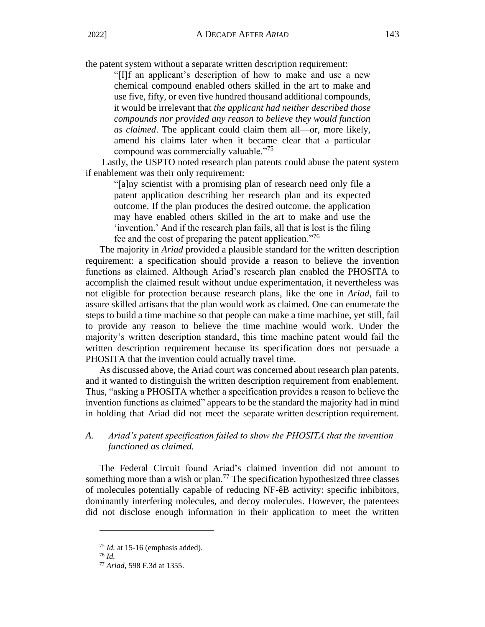the patent system without a separate written description requirement:

"[I]f an applicant's description of how to make and use a new chemical compound enabled others skilled in the art to make and use five, fifty, or even five hundred thousand additional compounds, it would be irrelevant that *the applicant had neither described those compounds nor provided any reason to believe they would function as claimed*. The applicant could claim them all—or, more likely, amend his claims later when it became clear that a particular compound was commercially valuable."<sup>75</sup>

Lastly, the USPTO noted research plan patents could abuse the patent system if enablement was their only requirement:

"[a]ny scientist with a promising plan of research need only file a patent application describing her research plan and its expected outcome. If the plan produces the desired outcome, the application may have enabled others skilled in the art to make and use the 'invention.' And if the research plan fails, all that is lost is the filing fee and the cost of preparing the patent application."<sup>76</sup>

The majority in *Ariad* provided a plausible standard for the written description requirement: a specification should provide a reason to believe the invention functions as claimed. Although Ariad's research plan enabled the PHOSITA to accomplish the claimed result without undue experimentation, it nevertheless was not eligible for protection because research plans, like the one in *Ariad*, fail to assure skilled artisans that the plan would work as claimed. One can enumerate the steps to build a time machine so that people can make a time machine, yet still, fail to provide any reason to believe the time machine would work. Under the majority's written description standard, this time machine patent would fail the written description requirement because its specification does not persuade a PHOSITA that the invention could actually travel time.

As discussed above, the Ariad court was concerned about research plan patents, and it wanted to distinguish the written description requirement from enablement. Thus, "asking a PHOSITA whether a specification provides a reason to believe the invention functions as claimed" appears to be the standard the majority had in mind in holding that Ariad did not meet the separate written description requirement.

#### *A. Ariad's patent specification failed to show the PHOSITA that the invention functioned as claimed.*

The Federal Circuit found Ariad's claimed invention did not amount to something more than a wish or plan.<sup>77</sup> The specification hypothesized three classes of molecules potentially capable of reducing NF-êB activity: specific inhibitors, dominantly interfering molecules, and decoy molecules. However, the patentees did not disclose enough information in their application to meet the written

<sup>75</sup> *Id.* at 15-16 (emphasis added).

<sup>76</sup> *Id.*

<sup>77</sup> *Ariad*, 598 F.3d at 1355.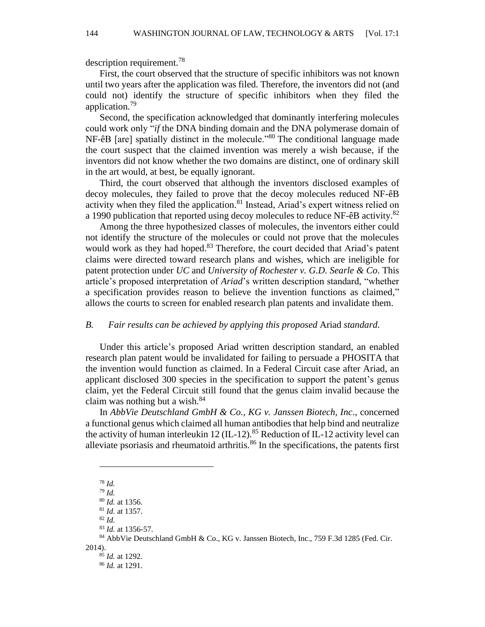description requirement.<sup>78</sup>

First, the court observed that the structure of specific inhibitors was not known until two years after the application was filed. Therefore, the inventors did not (and could not) identify the structure of specific inhibitors when they filed the application.<sup>79</sup>

Second, the specification acknowledged that dominantly interfering molecules could work only "*if* the DNA binding domain and the DNA polymerase domain of NF-êB [are] spatially distinct in the molecule."<sup>80</sup> The conditional language made the court suspect that the claimed invention was merely a wish because, if the inventors did not know whether the two domains are distinct, one of ordinary skill in the art would, at best, be equally ignorant.

Third, the court observed that although the inventors disclosed examples of decoy molecules, they failed to prove that the decoy molecules reduced NF-êB activity when they filed the application.<sup>81</sup> Instead, Ariad's expert witness relied on a 1990 publication that reported using decoy molecules to reduce NF-êB activity.<sup>82</sup>

Among the three hypothesized classes of molecules, the inventors either could not identify the structure of the molecules or could not prove that the molecules would work as they had hoped.<sup>83</sup> Therefore, the court decided that Ariad's patent claims were directed toward research plans and wishes, which are ineligible for patent protection under *UC* and *University of Rochester v. G.D. Searle & Co*. This article's proposed interpretation of *Ariad*'s written description standard, "whether a specification provides reason to believe the invention functions as claimed," allows the courts to screen for enabled research plan patents and invalidate them.

#### *B. Fair results can be achieved by applying this proposed* Ariad *standard.*

Under this article's proposed Ariad written description standard, an enabled research plan patent would be invalidated for failing to persuade a PHOSITA that the invention would function as claimed. In a Federal Circuit case after Ariad, an applicant disclosed 300 species in the specification to support the patent's genus claim, yet the Federal Circuit still found that the genus claim invalid because the claim was nothing but a wish.<sup>84</sup>

In *AbbVie Deutschland GmbH & Co., KG v. Janssen Biotech, Inc*., concerned a functional genus which claimed all human antibodies that help bind and neutralize the activity of human interleukin 12 (IL-12).<sup>85</sup> Reduction of IL-12 activity level can alleviate psoriasis and rheumatoid arthritis. $86$  In the specifications, the patents first

<sup>78</sup> *Id.*

<sup>79</sup> *Id.*

<sup>80</sup> *Id.* at 1356.

<sup>81</sup> *Id.* at 1357.

<sup>82</sup> *Id.*

<sup>83</sup> *Id.* at 1356-57.

<sup>84</sup> AbbVie Deutschland GmbH & Co., KG v. Janssen Biotech, Inc., 759 F.3d 1285 (Fed. Cir. 2014).

<sup>85</sup> *Id.* at 1292. <sup>86</sup> *Id.* at 1291.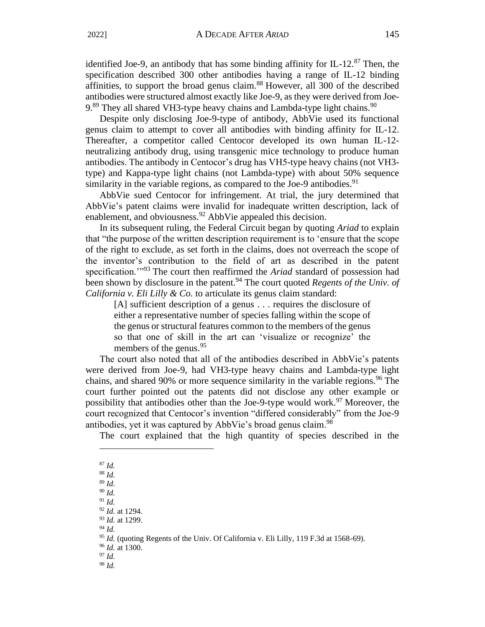identified Joe-9, an antibody that has some binding affinity for IL-12. $^{87}$  Then, the specification described 300 other antibodies having a range of IL-12 binding affinities, to support the broad genus claim.<sup>88</sup> However, all 300 of the described antibodies were structured almost exactly like Joe-9, as they were derived from Joe- $9.89$  They all shared VH3-type heavy chains and Lambda-type light chains.  $90$ 

Despite only disclosing Joe-9-type of antibody, AbbVie used its functional genus claim to attempt to cover all antibodies with binding affinity for IL-12. Thereafter, a competitor called Centocor developed its own human IL-12 neutralizing antibody drug, using transgenic mice technology to produce human antibodies. The antibody in Centocor's drug has VH5-type heavy chains (not VH3 type) and Kappa-type light chains (not Lambda-type) with about 50% sequence similarity in the variable regions, as compared to the Joe-9 antibodies. $91$ 

AbbVie sued Centocor for infringement. At trial, the jury determined that AbbVie's patent claims were invalid for inadequate written description, lack of enablement, and obviousness.<sup>92</sup> AbbVie appealed this decision.

In its subsequent ruling, the Federal Circuit began by quoting *Ariad* to explain that "the purpose of the written description requirement is to 'ensure that the scope of the right to exclude, as set forth in the claims, does not overreach the scope of the inventor's contribution to the field of art as described in the patent specification.<sup>"93</sup> The court then reaffirmed the *Ariad* standard of possession had been shown by disclosure in the patent.<sup>94</sup> The court quoted *Regents of the Univ. of California v. Eli Lilly & Co.* to articulate its genus claim standard:

[A] sufficient description of a genus . . . requires the disclosure of either a representative number of species falling within the scope of the genus or structural features common to the members of the genus so that one of skill in the art can 'visualize or recognize' the members of the genus.<sup>95</sup>

The court also noted that all of the antibodies described in AbbVie's patents were derived from Joe-9, had VH3-type heavy chains and Lambda-type light chains, and shared 90% or more sequence similarity in the variable regions.<sup>96</sup> The court further pointed out the patents did not disclose any other example or possibility that antibodies other than the Joe-9-type would work.<sup>97</sup> Moreover, the court recognized that Centocor's invention "differed considerably" from the Joe-9 antibodies, yet it was captured by AbbVie's broad genus claim.<sup>98</sup>

The court explained that the high quantity of species described in the

<sup>87</sup> *Id.* <sup>88</sup> *Id.* <sup>89</sup> *Id.* 

<sup>90</sup> *Id.*

<sup>91</sup> *Id.*

<sup>92</sup> *Id.* at 1294.

<sup>93</sup> *Id.* at 1299.

<sup>94</sup> *Id.*

<sup>95</sup> *Id.* (quoting Regents of the Univ. Of California v. Eli Lilly, 119 F.3d at 1568-69).

<sup>96</sup> *Id.* at 1300.

<sup>97</sup> *Id.* <sup>98</sup> *Id.*